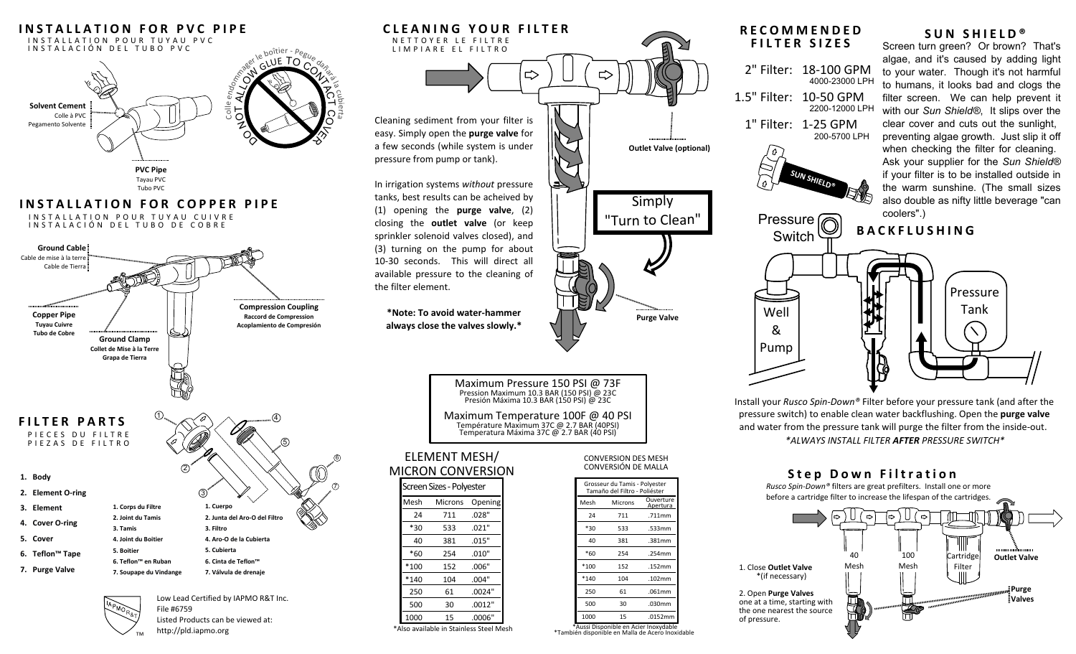

http://pld.iapmo.org

\*Also available in Stainless Steel Mesh

\*Aussi Disponible en Acier Inoxydable \*También disponible en Malla de Acero Inoxidable